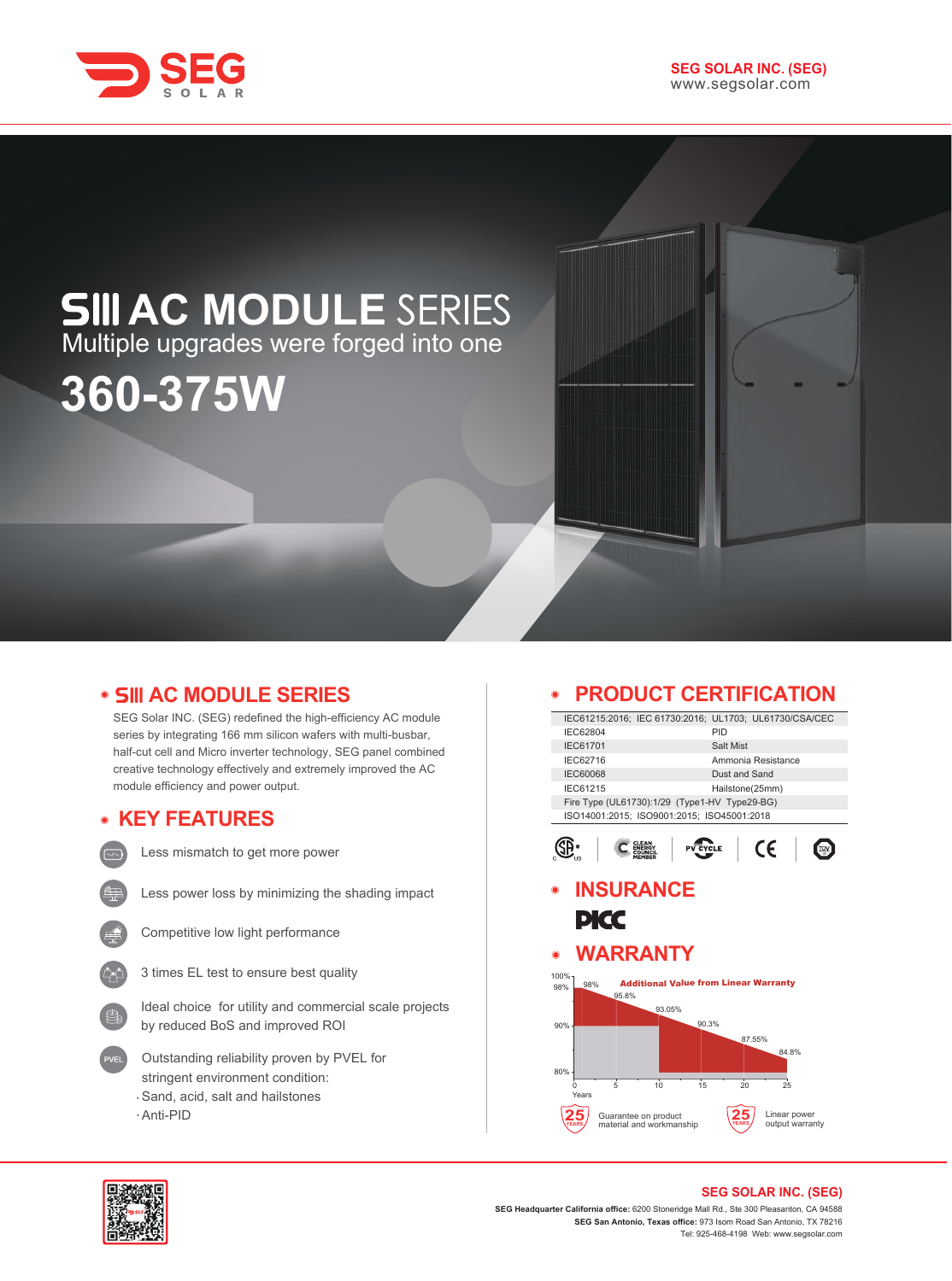

# **AC MODULE** Multiple upgrades were forged into one

# **360-375W**

# **• SIII AC MODULE SERIES**

SEG Solar INC. (SEG) redefined the high-efficiency AC module series by integrating 166 mm silicon wafers with multi-busbar, half-cut cell and Micro inverter technology, SEG panel combined creative technology effectively and extremely improved the AC module efficiency and power output.

# **KEY FEATURES**



Less mismatch to get more power



Less power loss by minimizing the shading impact



Competitive low light performance



Ideal choice for utility and commercial scale projects by reduced BoS and improved ROI

- Outstanding reliability proven by PVEL for stringent environment condition: Sand, acid, salt and hailstones
- Anti-PID

# **PRODUCT CERTIFICATION**

|                 | aonna                                                  |                                              |                 |                 | GA I                            |  |  |
|-----------------|--------------------------------------------------------|----------------------------------------------|-----------------|-----------------|---------------------------------|--|--|
|                 | IEC61215:2016; IEC 61730:2016; UL1703; UL61730/CSA/CEC |                                              |                 |                 |                                 |  |  |
| IEC62804        |                                                        |                                              | PID             |                 |                                 |  |  |
| IEC61701        |                                                        |                                              |                 | Salt Mist       |                                 |  |  |
| IEC62716        |                                                        |                                              |                 |                 | Ammonia Resistance              |  |  |
| <b>IEC60068</b> |                                                        |                                              |                 | Dust and Sand   |                                 |  |  |
| <b>IEC61215</b> |                                                        |                                              |                 | Hailstone(25mm) |                                 |  |  |
|                 | Fire Type (UL61730):1/29 (Type1-HV Type29-BG)          |                                              |                 |                 |                                 |  |  |
|                 | ISO14001:2015; ISO9001:2015; ISO45001:2018             |                                              |                 |                 |                                 |  |  |
|                 |                                                        |                                              | <b>PV CYCLE</b> |                 | CE                              |  |  |
|                 | <b>INSURANCE</b>                                       |                                              |                 |                 |                                 |  |  |
|                 | PKC                                                    |                                              |                 |                 |                                 |  |  |
| $\circledcirc$  | <b>WARRANTY</b>                                        |                                              |                 |                 |                                 |  |  |
| 100%            |                                                        |                                              |                 |                 |                                 |  |  |
| 98%<br>98%      |                                                        | <b>Additional Value from Linear Warranty</b> |                 |                 |                                 |  |  |
|                 | 95.8%                                                  |                                              |                 |                 |                                 |  |  |
|                 |                                                        | 93.05%                                       | 90.3%           |                 |                                 |  |  |
| 90%             |                                                        |                                              |                 |                 |                                 |  |  |
|                 |                                                        |                                              |                 | 87.55%          | 84.8%                           |  |  |
|                 |                                                        |                                              |                 |                 |                                 |  |  |
| 80%             |                                                        |                                              |                 |                 |                                 |  |  |
| 0<br>Years      | 5                                                      | 10                                           | 15              | 20              | 25                              |  |  |
|                 |                                                        |                                              |                 |                 |                                 |  |  |
|                 | Guarantee on product<br>material and workmanship       |                                              |                 |                 | Linear power<br>output warranty |  |  |
|                 |                                                        |                                              |                 |                 |                                 |  |  |



#### **SEG SOLAR INC. (SEG)**

**SEG Headquarter California office:** 6200 Stoneridge Mall Rd., Ste 300 Pleasanton, CA 94588 **SEG San Antonio, Texas office:** 973 Isom Road San Antonio, TX 78216 Tel: 925-468-4198 Web: www.segsolar.com